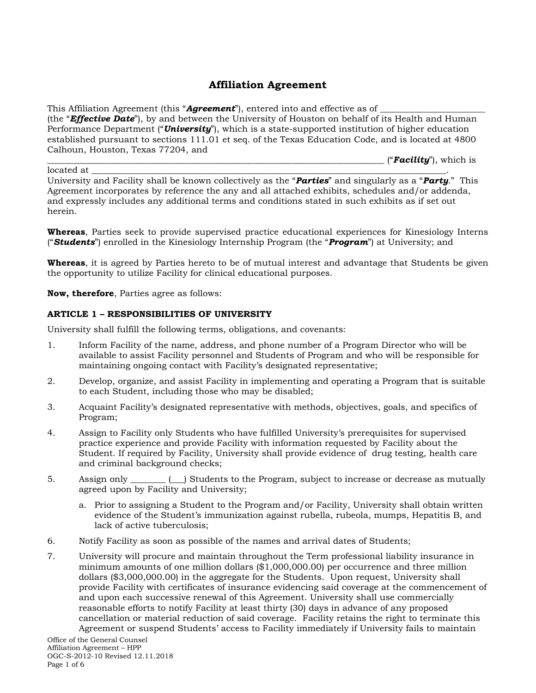# **Affiliation Agreement**

This Affiliation Agreement (this "**Agreement**"), entered into and effective as of (the "*Effective Date*"), by and between the University of Houston on behalf of its Health and Human Performance Department ("*University*"), which is a state-supported institution of higher education established pursuant to sections 111.01 et seq. of the Texas Education Code, and is located at 4800 Calhoun, Houston, Texas 77204, and

\_\_\_\_\_\_\_\_\_\_\_\_\_\_\_\_\_\_\_\_\_\_\_\_\_\_\_\_\_\_\_\_\_\_\_\_\_\_\_\_\_\_\_\_\_\_\_\_\_\_\_\_\_\_\_\_\_\_\_\_\_\_\_\_\_\_\_\_\_\_\_\_\_\_\_\_\_ ("*Facility*"), which is

located at \_\_\_\_\_\_\_\_\_\_\_\_\_\_\_\_\_\_\_\_\_\_\_\_\_\_\_\_\_\_\_\_\_\_\_\_\_\_\_\_\_\_\_\_\_\_\_\_\_\_\_\_\_\_\_\_\_\_\_\_\_\_\_\_\_\_\_\_\_\_\_\_\_\_\_\_\_\_\_\_\_. University and Facility shall be known collectively as the "*Parties*" and singularly as a "*Party*." This Agreement incorporates by reference the any and all attached exhibits, schedules and/or addenda, and expressly includes any additional terms and conditions stated in such exhibits as if set out herein.

**Whereas**, Parties seek to provide supervised practice educational experiences for Kinesiology Interns ("*Students*") enrolled in the Kinesiology Internship Program (the "*Program*") at University; and

**Whereas**, it is agreed by Parties hereto to be of mutual interest and advantage that Students be given the opportunity to utilize Facility for clinical educational purposes.

**Now, therefore**, Parties agree as follows:

### **ARTICLE 1 – RESPONSIBILITIES OF UNIVERSITY**

University shall fulfill the following terms, obligations, and covenants:

- 1. Inform Facility of the name, address, and phone number of a Program Director who will be available to assist Facility personnel and Students of Program and who will be responsible for maintaining ongoing contact with Facility's designated representative;
- 2. Develop, organize, and assist Facility in implementing and operating a Program that is suitable to each Student, including those who may be disabled;
- 3. Acquaint Facility's designated representative with methods, objectives, goals, and specifics of Program;
- 4. Assign to Facility only Students who have fulfilled University's prerequisites for supervised practice experience and provide Facility with information requested by Facility about the Student. If required by Facility, University shall provide evidence of drug testing, health care and criminal background checks;
- 5. Assign only \_\_\_\_\_\_\_\_ (\_\_) Students to the Program, subject to increase or decrease as mutually agreed upon by Facility and University;
	- a. Prior to assigning a Student to the Program and/or Facility, University shall obtain written evidence of the Student's immunization against rubella, rubeola, mumps, Hepatitis B, and lack of active tuberculosis;
- 6. Notify Facility as soon as possible of the names and arrival dates of Students;
- 7. University will procure and maintain throughout the Term professional liability insurance in minimum amounts of one million dollars (\$1,000,000.00) per occurrence and three million dollars (\$3,000,000.00) in the aggregate for the Students. Upon request, University shall provide Facility with certificates of insurance evidencing said coverage at the commencement of and upon each successive renewal of this Agreement. University shall use commercially reasonable efforts to notify Facility at least thirty (30) days in advance of any proposed cancellation or material reduction of said coverage. Facility retains the right to terminate this Agreement or suspend Students' access to Facility immediately if University fails to maintain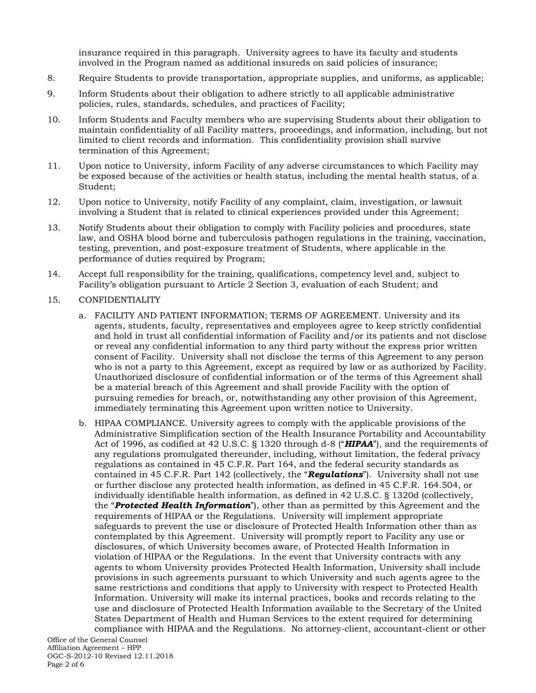insurance required in this paragraph. University agrees to have its faculty and students involved in the Program named as additional insureds on said policies of insurance;

- 8. Require Students to provide transportation, appropriate supplies, and uniforms, as applicable;
- 9. Inform Students about their obligation to adhere strictly to all applicable administrative policies, rules, standards, schedules, and practices of Facility;
- 10. Inform Students and Faculty members who are supervising Students about their obligation to maintain confidentiality of all Facility matters, proceedings, and information, including, but not limited to client records and information. This confidentiality provision shall survive termination of this Agreement;
- 11. Upon notice to University, inform Facility of any adverse circumstances to which Facility may be exposed because of the activities or health status, including the mental health status, of a Student;
- 12. Upon notice to University, notify Facility of any complaint, claim, investigation, or lawsuit involving a Student that is related to clinical experiences provided under this Agreement;
- 13. Notify Students about their obligation to comply with Facility policies and procedures, state law, and OSHA blood borne and tuberculosis pathogen regulations in the training, vaccination, testing, prevention, and post-exposure treatment of Students, where applicable in the performance of duties required by Program;
- 14. Accept full responsibility for the training, qualifications, competency level and, subject to Facility's obligation pursuant to Article 2 Section 3, evaluation of each Student; and
- 15. CONFIDENTIALITY
	- a. FACILITY AND PATIENT INFORMATION; TERMS OF AGREEMENT. University and its agents, students, faculty, representatives and employees agree to keep strictly confidential and hold in trust all confidential information of Facility and/or its patients and not disclose or reveal any confidential information to any third party without the express prior written consent of Facility. University shall not disclose the terms of this Agreement to any person who is not a party to this Agreement, except as required by law or as authorized by Facility. Unauthorized disclosure of confidential information or of the terms of this Agreement shall be a material breach of this Agreement and shall provide Facility with the option of pursuing remedies for breach, or, notwithstanding any other provision of this Agreement, immediately terminating this Agreement upon written notice to University.
	- b. HIPAA COMPLIANCE. University agrees to comply with the applicable provisions of the Administrative Simplification section of the Health Insurance Portability and Accountability Act of 1996, as codified at 42 U.S.C. § 1320 through d-8 ("*HIPAA*"), and the requirements of any regulations promulgated thereunder, including, without limitation, the federal privacy regulations as contained in 45 C.F.R. Part 164, and the federal security standards as contained in 45 C.F.R. Part 142 (collectively, the "*Regulations*"). University shall not use or further disclose any protected health information, as defined in 45 C.F.R. 164.504, or individually identifiable health information, as defined in 42 U.S.C. § 1320d (collectively, the "*Protected Health Information*"), other than as permitted by this Agreement and the requirements of HIPAA or the Regulations. University will implement appropriate safeguards to prevent the use or disclosure of Protected Health Information other than as contemplated by this Agreement. University will promptly report to Facility any use or disclosures, of which University becomes aware, of Protected Health Information in violation of HIPAA or the Regulations. In the event that University contracts with any agents to whom University provides Protected Health Information, University shall include provisions in such agreements pursuant to which University and such agents agree to the same restrictions and conditions that apply to University with respect to Protected Health Information. University will make its internal practices, books and records relating to the use and disclosure of Protected Health Information available to the Secretary of the United States Department of Health and Human Services to the extent required for determining compliance with HIPAA and the Regulations. No attorney-client, accountant-client or other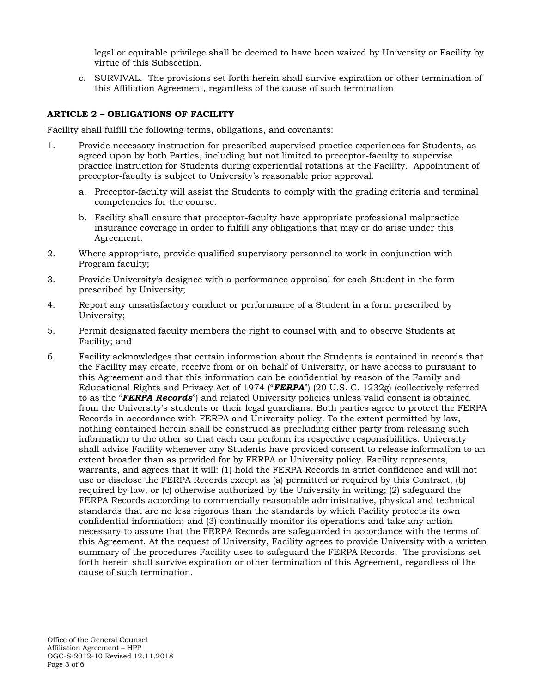legal or equitable privilege shall be deemed to have been waived by University or Facility by virtue of this Subsection.

c. SURVIVAL. The provisions set forth herein shall survive expiration or other termination of this Affiliation Agreement, regardless of the cause of such termination

## **ARTICLE 2 – OBLIGATIONS OF FACILITY**

Facility shall fulfill the following terms, obligations, and covenants:

- 1. Provide necessary instruction for prescribed supervised practice experiences for Students, as agreed upon by both Parties, including but not limited to preceptor-faculty to supervise practice instruction for Students during experiential rotations at the Facility. Appointment of preceptor-faculty is subject to University's reasonable prior approval.
	- a. Preceptor-faculty will assist the Students to comply with the grading criteria and terminal competencies for the course.
	- b. Facility shall ensure that preceptor-faculty have appropriate professional malpractice insurance coverage in order to fulfill any obligations that may or do arise under this Agreement.
- 2. Where appropriate, provide qualified supervisory personnel to work in conjunction with Program faculty;
- 3. Provide University's designee with a performance appraisal for each Student in the form prescribed by University;
- 4. Report any unsatisfactory conduct or performance of a Student in a form prescribed by University;
- 5. Permit designated faculty members the right to counsel with and to observe Students at Facility; and
- 6. Facility acknowledges that certain information about the Students is contained in records that the Facility may create, receive from or on behalf of University, or have access to pursuant to this Agreement and that this information can be confidential by reason of the Family and Educational Rights and Privacy Act of 1974 ("*FERPA*") (20 U.S. C. 1232g) (collectively referred to as the "*FERPA Records*") and related University policies unless valid consent is obtained from the University's students or their legal guardians. Both parties agree to protect the FERPA Records in accordance with FERPA and University policy. To the extent permitted by law, nothing contained herein shall be construed as precluding either party from releasing such information to the other so that each can perform its respective responsibilities. University shall advise Facility whenever any Students have provided consent to release information to an extent broader than as provided for by FERPA or University policy. Facility represents, warrants, and agrees that it will: (1) hold the FERPA Records in strict confidence and will not use or disclose the FERPA Records except as (a) permitted or required by this Contract, (b) required by law, or (c) otherwise authorized by the University in writing; (2) safeguard the FERPA Records according to commercially reasonable administrative, physical and technical standards that are no less rigorous than the standards by which Facility protects its own confidential information; and (3) continually monitor its operations and take any action necessary to assure that the FERPA Records are safeguarded in accordance with the terms of this Agreement. At the request of University, Facility agrees to provide University with a written summary of the procedures Facility uses to safeguard the FERPA Records. The provisions set forth herein shall survive expiration or other termination of this Agreement, regardless of the cause of such termination.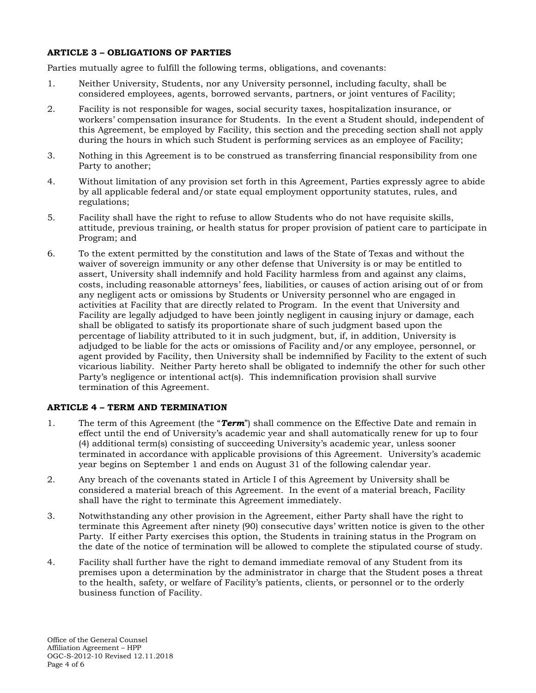## **ARTICLE 3 – OBLIGATIONS OF PARTIES**

Parties mutually agree to fulfill the following terms, obligations, and covenants:

- 1. Neither University, Students, nor any University personnel, including faculty, shall be considered employees, agents, borrowed servants, partners, or joint ventures of Facility;
- 2. Facility is not responsible for wages, social security taxes, hospitalization insurance, or workers' compensation insurance for Students. In the event a Student should, independent of this Agreement, be employed by Facility, this section and the preceding section shall not apply during the hours in which such Student is performing services as an employee of Facility;
- 3. Nothing in this Agreement is to be construed as transferring financial responsibility from one Party to another;
- 4. Without limitation of any provision set forth in this Agreement, Parties expressly agree to abide by all applicable federal and/or state equal employment opportunity statutes, rules, and regulations;
- 5. Facility shall have the right to refuse to allow Students who do not have requisite skills, attitude, previous training, or health status for proper provision of patient care to participate in Program; and
- 6. To the extent permitted by the constitution and laws of the State of Texas and without the waiver of sovereign immunity or any other defense that University is or may be entitled to assert, University shall indemnify and hold Facility harmless from and against any claims, costs, including reasonable attorneys' fees, liabilities, or causes of action arising out of or from any negligent acts or omissions by Students or University personnel who are engaged in activities at Facility that are directly related to Program. In the event that University and Facility are legally adjudged to have been jointly negligent in causing injury or damage, each shall be obligated to satisfy its proportionate share of such judgment based upon the percentage of liability attributed to it in such judgment, but, if, in addition, University is adjudged to be liable for the acts or omissions of Facility and/or any employee, personnel, or agent provided by Facility, then University shall be indemnified by Facility to the extent of such vicarious liability. Neither Party hereto shall be obligated to indemnify the other for such other Party's negligence or intentional act(s). This indemnification provision shall survive termination of this Agreement.

## **ARTICLE 4 – TERM AND TERMINATION**

- 1. The term of this Agreement (the "*Term*") shall commence on the Effective Date and remain in effect until the end of University's academic year and shall automatically renew for up to four (4) additional term(s) consisting of succeeding University's academic year, unless sooner terminated in accordance with applicable provisions of this Agreement. University's academic year begins on September 1 and ends on August 31 of the following calendar year.
- 2. Any breach of the covenants stated in Article I of this Agreement by University shall be considered a material breach of this Agreement. In the event of a material breach, Facility shall have the right to terminate this Agreement immediately.
- 3. Notwithstanding any other provision in the Agreement, either Party shall have the right to terminate this Agreement after ninety (90) consecutive days' written notice is given to the other Party. If either Party exercises this option, the Students in training status in the Program on the date of the notice of termination will be allowed to complete the stipulated course of study.
- 4. Facility shall further have the right to demand immediate removal of any Student from its premises upon a determination by the administrator in charge that the Student poses a threat to the health, safety, or welfare of Facility's patients, clients, or personnel or to the orderly business function of Facility.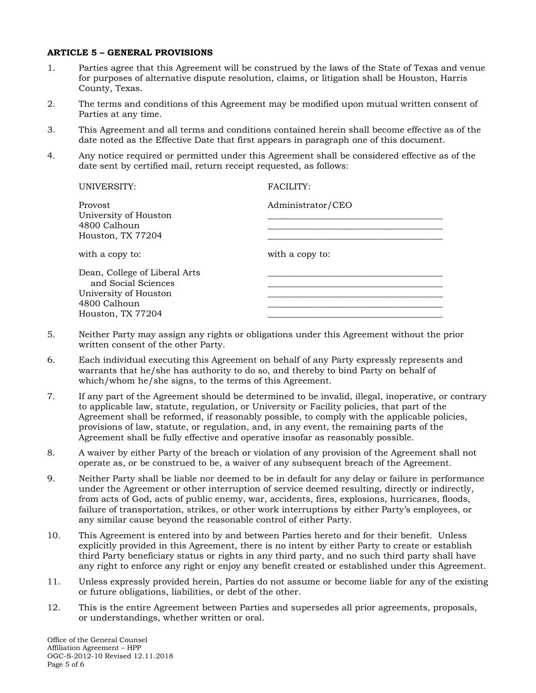### **ARTICLE 5 – GENERAL PROVISIONS**

- 1. Parties agree that this Agreement will be construed by the laws of the State of Texas and venue for purposes of alternative dispute resolution, claims, or litigation shall be Houston, Harris County, Texas.
- 2. The terms and conditions of this Agreement may be modified upon mutual written consent of Parties at any time.
- 3. This Agreement and all terms and conditions contained herein shall become effective as of the date noted as the Effective Date that first appears in paragraph one of this document.
- 4. Any notice required or permitted under this Agreement shall be considered effective as of the date sent by certified mail, return receipt requested, as follows:

| FACILITY:         |
|-------------------|
| Administrator/CEO |
|                   |
|                   |
| with a copy to:   |
|                   |
|                   |
|                   |
|                   |
|                   |
|                   |

- 5. Neither Party may assign any rights or obligations under this Agreement without the prior written consent of the other Party.
- 6. Each individual executing this Agreement on behalf of any Party expressly represents and warrants that he/she has authority to do so, and thereby to bind Party on behalf of which/whom he/she signs, to the terms of this Agreement.
- 7. If any part of the Agreement should be determined to be invalid, illegal, inoperative, or contrary to applicable law, statute, regulation, or University or Facility policies, that part of the Agreement shall be reformed, if reasonably possible, to comply with the applicable policies, provisions of law, statute, or regulation, and, in any event, the remaining parts of the Agreement shall be fully effective and operative insofar as reasonably possible.
- 8. A waiver by either Party of the breach or violation of any provision of the Agreement shall not operate as, or be construed to be, a waiver of any subsequent breach of the Agreement.
- 9. Neither Party shall be liable nor deemed to be in default for any delay or failure in performance under the Agreement or other interruption of service deemed resulting, directly or indirectly, from acts of God, acts of public enemy, war, accidents, fires, explosions, hurricanes, floods, failure of transportation, strikes, or other work interruptions by either Party's employees, or any similar cause beyond the reasonable control of either Party.
- 10. This Agreement is entered into by and between Parties hereto and for their benefit. Unless explicitly provided in this Agreement, there is no intent by either Party to create or establish third Party beneficiary status or rights in any third party, and no such third party shall have any right to enforce any right or enjoy any benefit created or established under this Agreement.
- 11. Unless expressly provided herein, Parties do not assume or become liable for any of the existing or future obligations, liabilities, or debt of the other.
- 12. This is the entire Agreement between Parties and supersedes all prior agreements, proposals, or understandings, whether written or oral.